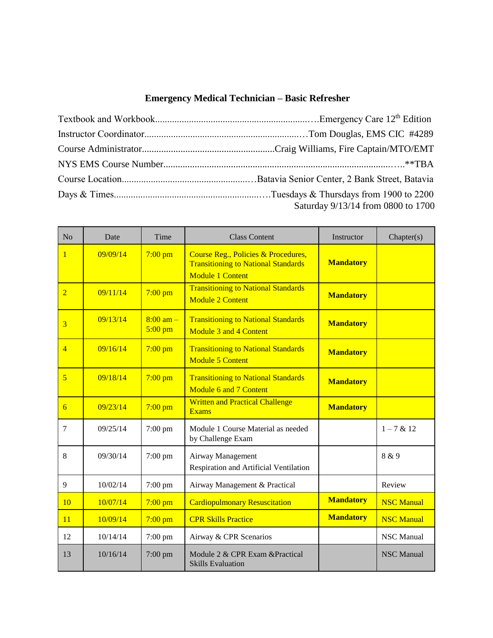## **Emergency Medical Technician** *–* **Basic Refresher**

| Saturday 9/13/14 from 0800 to 1700 |
|------------------------------------|

| N <sub>o</sub> | Date     | Time                             | <b>Class Content</b>                                                                                         | Instructor       | Chapter(s)        |
|----------------|----------|----------------------------------|--------------------------------------------------------------------------------------------------------------|------------------|-------------------|
| $\mathbf{1}$   | 09/09/14 | $7:00$ pm                        | Course Reg., Policies & Procedures,<br><b>Transitioning to National Standards</b><br><b>Module 1 Content</b> | <b>Mandatory</b> |                   |
| $\overline{2}$ | 09/11/14 | $7:00$ pm                        | <b>Transitioning to National Standards</b><br><b>Module 2 Content</b>                                        | <b>Mandatory</b> |                   |
| 3              | 09/13/14 | $8:00 \text{ am} -$<br>$5:00$ pm | <b>Transitioning to National Standards</b><br>Module 3 and 4 Content                                         | <b>Mandatory</b> |                   |
| $\overline{4}$ | 09/16/14 | $7:00$ pm                        | <b>Transitioning to National Standards</b><br><b>Module 5 Content</b>                                        | <b>Mandatory</b> |                   |
| $\overline{5}$ | 09/18/14 | $7:00$ pm                        | <b>Transitioning to National Standards</b><br>Module 6 and 7 Content                                         | <b>Mandatory</b> |                   |
| 6              | 09/23/14 | $7:00$ pm                        | <b>Written and Practical Challenge</b><br><b>Exams</b>                                                       | <b>Mandatory</b> |                   |
| $\overline{7}$ | 09/25/14 | 7:00 pm                          | Module 1 Course Material as needed<br>by Challenge Exam                                                      |                  | $1 - 7 & 12$      |
| 8              | 09/30/14 | $7:00$ pm                        | Airway Management<br>Respiration and Artificial Ventilation                                                  |                  | 8 & 9             |
| 9              | 10/02/14 | $7:00$ pm                        | Airway Management & Practical                                                                                |                  | Review            |
| 10             | 10/07/14 | $7:00$ pm                        | <b>Cardiopulmonary Resuscitation</b>                                                                         | <b>Mandatory</b> | <b>NSC Manual</b> |
| 11             | 10/09/14 | $7:00$ pm                        | <b>CPR Skills Practice</b>                                                                                   | <b>Mandatory</b> | <b>NSC Manual</b> |
| 12             | 10/14/14 | $7:00$ pm                        | Airway & CPR Scenarios                                                                                       |                  | <b>NSC</b> Manual |
| 13             | 10/16/14 | $7:00$ pm                        | Module 2 & CPR Exam & Practical<br><b>Skills Evaluation</b>                                                  |                  | <b>NSC Manual</b> |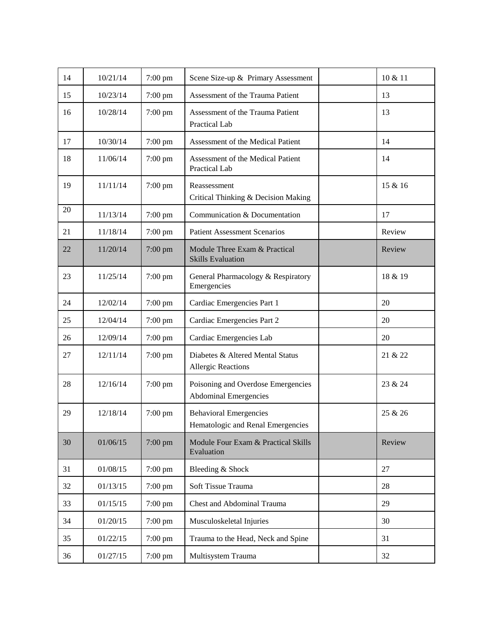| 14 | 10/21/14 | $7:00$ pm | Scene Size-up & Primary Assessment                                 | 10 & 11 |
|----|----------|-----------|--------------------------------------------------------------------|---------|
| 15 | 10/23/14 | 7:00 pm   | Assessment of the Trauma Patient                                   | 13      |
| 16 | 10/28/14 | $7:00$ pm | Assessment of the Trauma Patient<br>Practical Lab                  | 13      |
| 17 | 10/30/14 | $7:00$ pm | Assessment of the Medical Patient                                  | 14      |
| 18 | 11/06/14 | 7:00 pm   | Assessment of the Medical Patient<br>Practical Lab                 | 14      |
| 19 | 11/11/14 | $7:00$ pm | Reassessment<br>Critical Thinking & Decision Making                | 15 & 16 |
| 20 | 11/13/14 | 7:00 pm   | Communication & Documentation                                      | 17      |
| 21 | 11/18/14 | 7:00 pm   | <b>Patient Assessment Scenarios</b>                                | Review  |
| 22 | 11/20/14 | 7:00 pm   | Module Three Exam & Practical<br><b>Skills Evaluation</b>          | Review  |
| 23 | 11/25/14 | $7:00$ pm | General Pharmacology & Respiratory<br>Emergencies                  | 18 & 19 |
| 24 | 12/02/14 | 7:00 pm   | Cardiac Emergencies Part 1                                         | 20      |
| 25 | 12/04/14 | 7:00 pm   | Cardiac Emergencies Part 2                                         | 20      |
| 26 | 12/09/14 | $7:00$ pm | Cardiac Emergencies Lab                                            | 20      |
| 27 | 12/11/14 | 7:00 pm   | Diabetes & Altered Mental Status<br><b>Allergic Reactions</b>      | 21 & 22 |
| 28 | 12/16/14 | 7:00 pm   | Poisoning and Overdose Emergencies<br><b>Abdominal Emergencies</b> | 23 & 24 |
| 29 | 12/18/14 | 7:00 pm   | <b>Behavioral Emergencies</b><br>Hematologic and Renal Emergencies | 25 & 26 |
| 30 | 01/06/15 | 7:00 pm   | Module Four Exam & Practical Skills<br>Evaluation                  | Review  |
| 31 | 01/08/15 | $7:00$ pm | Bleeding & Shock                                                   | 27      |
| 32 | 01/13/15 | 7:00 pm   | Soft Tissue Trauma                                                 | 28      |
| 33 | 01/15/15 | 7:00 pm   | Chest and Abdominal Trauma                                         | 29      |
| 34 | 01/20/15 | 7:00 pm   | Musculoskeletal Injuries                                           | 30      |
| 35 | 01/22/15 | 7:00 pm   | Trauma to the Head, Neck and Spine                                 | 31      |
| 36 | 01/27/15 | 7:00 pm   | Multisystem Trauma                                                 | 32      |